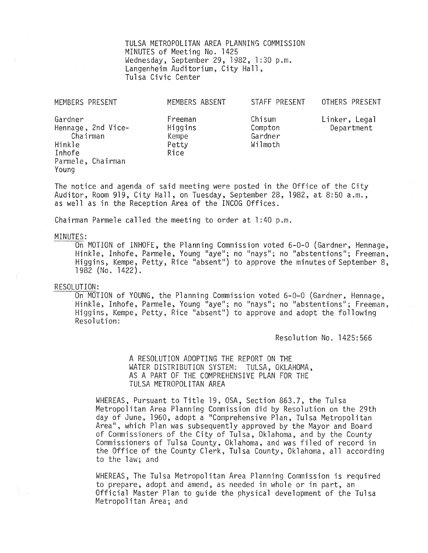TULSA METROPOLITAN AREA PLANNING COMMISSION MINUTES of Meeting No. 1425 Wednesday, September 29,1982,1:30 p.m. Langenheim Auditorium, City Hall, Tulsa Civic Center

| MEMBERS PRESENT                                                                             | MEMBERS ABSENT                               | STAFF PRESENT                           | OTHERS PRESENT              |
|---------------------------------------------------------------------------------------------|----------------------------------------------|-----------------------------------------|-----------------------------|
| Gardner<br>Hennage, 2nd Vice-<br>Chairman<br>Hinkle<br>Inhofe<br>Parmele, Chairman<br>Young | Freeman<br>Higgins<br>Kempe<br>Petty<br>Rice | Chisum<br>Compton<br>Gardner<br>Wilmoth | Linker, Legal<br>Department |
| The notice and agenda of said meeting were posted in the Office of the City                 |                                              |                                         |                             |

The notice and agenda of said meeting were posted in the Office of the City Auditor, Room 919, City Hall, on Tuesday, September 28, 1982, at 8:50 a.m., as well as in the Reception Area of the INCOG Offices.

Chairman Parmele called the meeting to order at 1:40 p.m.

### MINUTES:

On MOTION of INHOFE, the Planning Commission voted  $6-0-0$  (Gardner, Hennage, Hinkle, Inhofe, Parmele, Young "aye"; no "nays"; no "abstentions"; Freeman, Higgins, Kempe, Petty, Rice "absent") to approve the minutes of September 8, 1982 (No. 1422).

#### RESOLUTION:

On MOTION of YOUNG, the Planning Commission voted 6-0-0 (Gardner, Hennage, Hinkle, Inhofe, Parmele, Young "aye"; no "nays"; no "abstentions"; Freeman, Higgins, Kempe, Petty, Rice "absent") to approve and adopt the following Resolution:

Resolution No. 1425:566

A RESOLUTION ADOPTING THE REPORT ON THE WATER DISTRIBUTION SYSTEM: TULSA, OKLAHOMA, AS A PART OF THE COMPREHENSIVE PLAN FOR THE TULSA METROPOLITAN AREA

WHEREAS, Pursuant to Title 19, OSA, Section 863.7, the Tulsa Metropolitan Area Planning Commission did by Resolution on the 29th day of June, 1960, adopt a "Comprehensive Plan, Tulsa Metropolitan Area", which Plan was subsequently approved by the Mayor and Board of Commissioners of the City of Tulsa, Oklahoma, and by the County Commissioners of Tulsa County, Oklahoma, and was filed of record in the Office of the County Clerk, Tulsa County, Oklahoma, all according to the law; and

WHEREAS, The Tulsa Metropolitan Area Planning Commission is required to prepare, adopt and amend, as needed in whole or in part, an Official Master Plan to guide the physical development of the Tulsa Metropolitan Area; and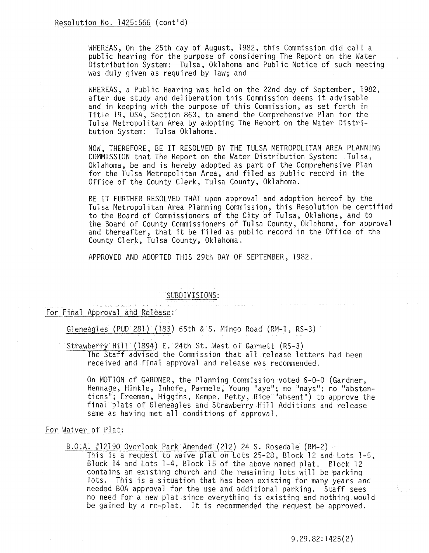WHEREAS, On the 25th day of August, 1982, this Commission did call a public hearing for the purpose of considering The Report on the Water Distribution System: Tulsa, Oklahoma and Public Notice of such meeting was duly given as required by law; and

WHEREAS, a Public Hearing was held on the 22nd day of September, 1982, after due study and deliberation this Commission deems it advisable and in keeping with the purpose of this Commission, as set forth in Title 19, OSA, Section 863, to amend the Comprehensive Plan for the Tulsa Metropolitan Area by adopting The Report on the Water Distribution System: Tulsa Oklahoma.

NOW, THEREFORE, BE IT RESOLVED BY THE TULSA METROPOLITAN AREA PLANNING COMMISSION that The Report on the Water Distribution System: Tulsa, Oklahoma, be and is hereby adopted as part of the Comprehensive Plan for the Tulsa Metropolitan Area, and filed as public record in the Office of the County Clerk, Tulsa County, Oklahoma.

BE IT FURTHER RESOLVED THAT upon approval and adoption hereof by the Tulsa Metropolitan Area Planning Commission, this Resolution be certified to the Board of Commissioners of the City of Tulsa, Oklahoma, and to<br>the Board of County Commissioners of Tulsa County, Oklahoma, for approval and thereafter, that it be filed as public record in the Office of the County Clerk, Tulsa County, Oklahoma.

APPROVED AND ADOPTED THIS 29th DAY OF SEPTEMBER, 1982.

# SUBDIVISIONS:

# For Final Approval and Release:

Gleneagles (PUD 281) (183) 65th & S. Mingo Road (RM-l, RS-3)

Strawberry Hill (1894) E. 24th St. West of Garnett (RS-3) The Staff advised the Commission that all release letters had been received and final approval and release was recommended.

On MOTION of GARDNER, the Planning Commission voted 6-0-0 (Gardner, Hennage, Hinkle, Inhofe, Parmele, Young "aye"; no "nays"; no "abstentions"; Freeman, Higgins, Kempe, Petty, Rice "absent") to approve the final plats of Gleneagles and Strawberry Hill Additions and release same as having met all conditions of approval.

# For Waiver of Plat:

B.O.A. #12190 Overlook Park Amended (212) 24 S. Rosedale (RM-2)

This is a request to waive plat on Lots 25-28, Block 12 and Lots 1-5, Block 14 and Lots 1-4, Block 15 of the above named plat. Block 12 contains an existing church and the remaining lots will be parking lots. This is a situation that has been existing for many years and needed BOA approval for the use and additional parking. Staff sees no need for a new plat since everything is existing and nothing wou1d be gained by a re-plat. It is recommended the request be approved.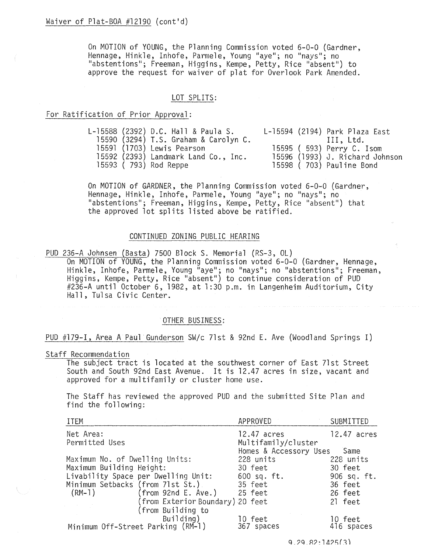On MOTION of YOUNG, the Planning Commission voted 6-0-0 (Gardner, Hennage, Hinkle, Inhofe, Parmele, Young "aye"; no "nays"; no "abstentions"; Freeman, Higgins, Kempe, Petty, Rice "absent") to approve the request for waiver of plat for Overlook Park Amended.

## LOT SPLITS:

# For Ratification of Prior Approval:

|  | L-15588 (2392) D.C. Hall & Paula S.   |  | L-15594 (2194) Park Plaza East  |
|--|---------------------------------------|--|---------------------------------|
|  | 15590 (3294) T.S. Graham & Carolyn C. |  | III. Ltd.                       |
|  | 15591 (1703) Lewis Pearson            |  | 15595 ( 593) Perry C. Isom      |
|  | 15592 (2393) Landmark Land Co., Inc.  |  | 15596 (1993) J. Richard Johnson |
|  | 15593 ( 793) Rod Reppe                |  | 15598 ( 703) Pauline Bond       |

On MOTION of GARDNER, the Planning Commission voted 6-0-0 (Gardner, Hennage, Hinkle, Inhofe, Parmele, Young "aye"; no "nays"; no "abstentions"; Freeman, Higgins, Kempe, Petty, Rice "absent") that the approved lot splits listed above be ratified.

## CONTINUED ZONING PUBLIC HEARING

PUD 236-A Johnsen (Basta) 7500 Block S. Memorial (RS-3, OL) On MOTION of YOUNG, the Planning Commission voted 6-0-0 (Gardner, Hennage, Hinkle, Inhofe, Parmele, Young "aye"; no "nays"; no "abstentions"; Freeman, Higgins, Kempe, Petty, Rice "absent!!) to continue consideration of PUD #236-A until October 6,1982, at 1:30 p.m. in Langenheim Auditorium, City Hall, Tulsa Civic Center.

#### OTHER BUSINESS:

# PUD #179-1, Area A Paul Gunderson SW/c 71st & 92nd E. Ave (Woodland Springs I)

#### Staff Recommendation

The subject tract is located at the southwest corner of East 71st Street South and South 92nd East Avenue. It is 12.47 acres in size, vacant and approved for a multifamily or cluster home use.

The Staff has reviewed the approved PUD and the submitted Site Plan and find the following:

| <b>ITEM</b>                         | APPROVED               | SUBMITTED   |
|-------------------------------------|------------------------|-------------|
| Net Area:                           | 12.47 acres            | 12.47 acres |
| Permitted Uses                      | Multifamily/cluster    |             |
|                                     | Homes & Accessory Uses | Same        |
| Maximum No. of Dwelling Units:      | 228 units              | 228 units   |
| Maximum Building Height:            | 30 feet                | 30 feet     |
| Livability Space per Dwelling Unit: | $600$ sq. ft.          | 906 sq. ft. |
| Minimum Setbacks (from 71st St.)    | 35 feet                | 36 feet     |
| $(from$ 92nd E. Ave.)<br>(RM-1)     | 25 feet                | 26 feet     |
| (from Exterior Boundary) 20 feet    |                        | 21 feet     |
| (from Building to                   |                        |             |
| Building)                           | 10 feet                | 10 feet     |
| Minimum Off-Street Parking (RM-1)   | 367 spaces             | 416 spaces  |

 $9.29.82:1425(3)$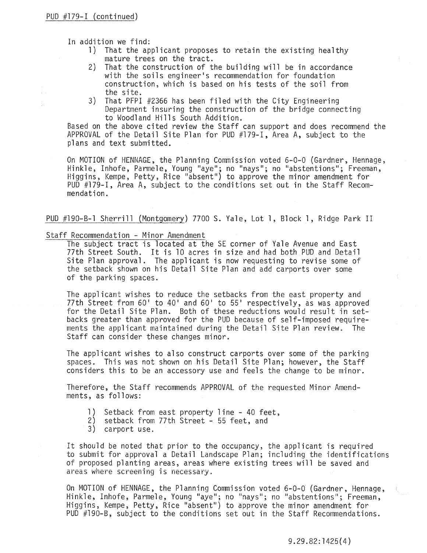In addition we find:

- 1) That the applicant proposes to retain the existing healthy mature trees on the tract.
- 2) That the construction of the building will be in accordance with the soils engineer's recommendation for foundation construction, which is based on his tests of the soil from the site.
- 3) That PFP1 #2366 has been filed with the City Engineering Department insuring the construction of the bridge connecting to Woodland Hills South Addition.

Based on the above cited review the Staff can support and does recommend the APPROVAL of the Detail Site Plan for PUD #179-1, Area A, subject to the plans and text submitted.

On MOTION of HENNAGE, the Planning Commission voted 6-0-0 (Gardner, Hennage, Hinkle, Inhofe, Parmele, Young "aye"; no "nays"; no "abstentions"; Freeman, Higgins, Kempe, Petty, Rice "absent") to approve the minor amendment for PUD #179-1, Area A, subject to the conditions set out in the Staff Recommendation.

# PUD #190-B-1 Sherrill (Montgomery) 7700 S. Yale, Lot 1, Block 1, Ridge Park II

#### Staff Recommendation - Minor Amendment

The subject tract is located at the SE corner of Yale Avenue and East 77th Street South. It is 10 acres in size and had both PUD and Detail Site Plan approval. The applicant is now requesting to revise some of the setback shown on his Detail Site Plan and add carports over some of the parking spaces.

The applicant wishes to reduce the setbacks from the east property and 77th Street from 60' to 40' and 60' to 55' respectively, as was approved for the Detail Site Plan. Both of these reductions would result in setbacks greater than approved for the PUD because of self-imposed requirements the applicant maintained during the Detail Site Plan review. The Staff can consider these changes minor.

The applicant wishes to also construct carports over some of the parking spaces. This was not shown on his Detail Site Plan; however, the Staff considers this to be an accessory use and feels the change to be minor.

Therefore, the Staff recommends APPROVAL of the requested Minor Amendments, as follows:

- 1) Setback from east property line 40 feet,
- 2) setback from 77th Street 55 feet, and
- 3) carport use.

It should be noted that prior to the occupancy, the applicant is required to submit for approval a Detail Landscape Plan; including the identifications of proposed planting areas, areas where existing trees will be saved and areas where screening is necessary.

On MOTION of HENNAGE, the Planning Commission voted 6-0-0 (Gardner, Hennage, Hinkle, Inhofe, Parmele, Young "aye!!; no "nays"; no "abstentions"; Freeman, Higgins, Kempe, Petty, Rice "absent") to approve the minor amendment for PUD #190-B, subject to the conditions set out in the Staff Recommendations.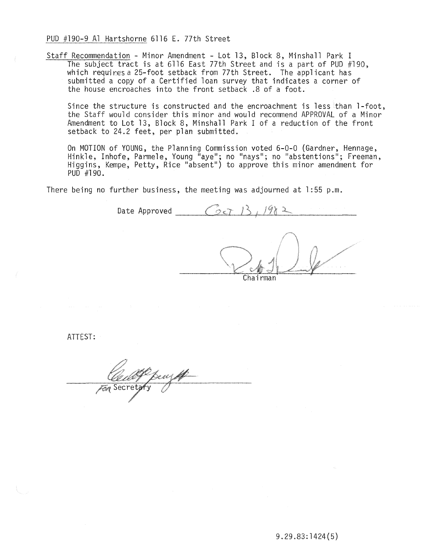PUD #190-9 Al Hartshorne 6116 E. 77th Street

Staff Recommendation - Minor Amendment - Lot 13, Block 8, Minshall Park I The subject tract is at 6116 East 77th Street and is a part of PUD #190, which requires a 25-foot setback from 77th Street. The applicant has submitted a copy of a Certified loan survey that indicates a corner of the house encroaches into the front setback. 8 of a foot.

Since the structure is constructed and the encroachment is less than 1-foot, the Staff would consider this minor and would recommend APPROVAL of a Minor Amendment to Lot 13, Block 8, Minshall Park I of a reduction of the front setback to 24.2 feet, per plan submitted.

On MOTION of YOUNG, the Planning Commission voted 6-0-0 (Gardner, Hennage, Hinkle, Inhofe, Parmele, Young "aye"; no "nays"; no "abstentions"; Freeman, Higgins, Kempe, Petty, Rice "absent") to approve this minor amendment f PUD #190.

There being no further business, the meeting was adjourned at  $1:55$  p.m.

Date Approved  $\circ$ adas Chairman

ATTEST:

Secret